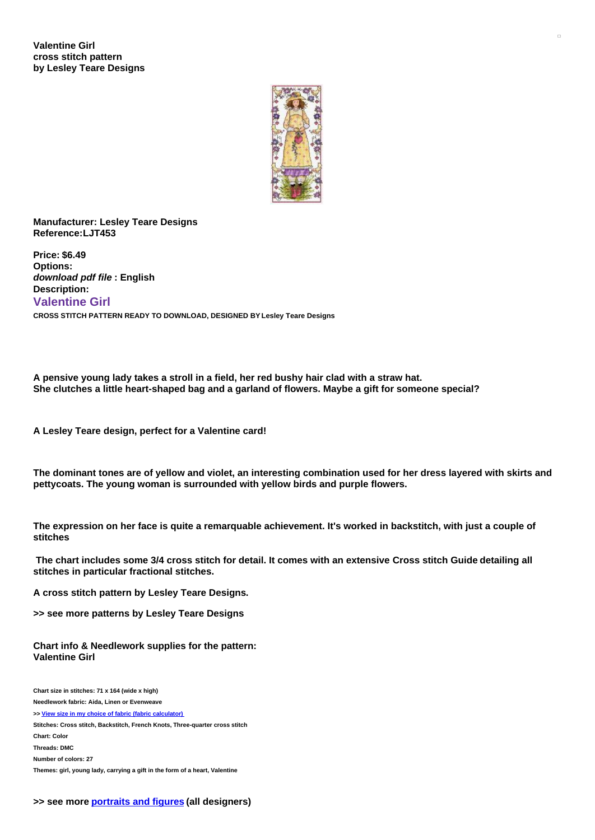

## **Manufacturer: Lesley Teare Designs Reference:LJT453**

**Price: \$6.49 Options:** *download pdf file* **: English Description: Valentine Girl CROSS STITCH PATTERN READY TO DOWNLOAD, DESIGNED BY Lesley Teare Designs**

**A pensive young lady takes a stroll in a field, her red bushy hair clad with a straw hat. She clutches a little heart-shaped bag and a garland of flowers. Maybe a gift for someone special?**

**A Lesley Teare design, perfect for a Valentine card!**

The dominant tones are of yellow and violet, an interesting combination used for her dress layered with skirts and **pettycoats. The young woman is surrounded with yellow birds and purple flowers.**

The expression on her face is quite a remarquable achievement. It's worked in backstitch, with just a couple of **stitches**

The chart includes some 3/4 cross stitch for detail. It comes with an extensive Cross stitch Guide detailing all **stitches in particular fractional stitches.**

**A cross stitch pattern by Lesley Teare Designs.**

**>> see more patterns by Lesley Teare Designs**

**Chart info & Needlework supplies for the pattern: Valentine Girl**

**Chart size in stitches: 71 x 164 (wide x high) Needlework fabric: Aida, Linen or Evenweave >> View size in my choice of fabric (fabric [calculator\)](https://www.creativepoppypatterns.com/calculette-de-toile.php?products_id=3004&w=71&h=164) Stitches: Cross stitch, Backstitch, French Knots, Three-quarter cross stitch Chart: Color Threads: DMC Number of colors: 27 Themes: girl, young lady, carrying a gift in the form of a heart, Valentine**

 $\Box$